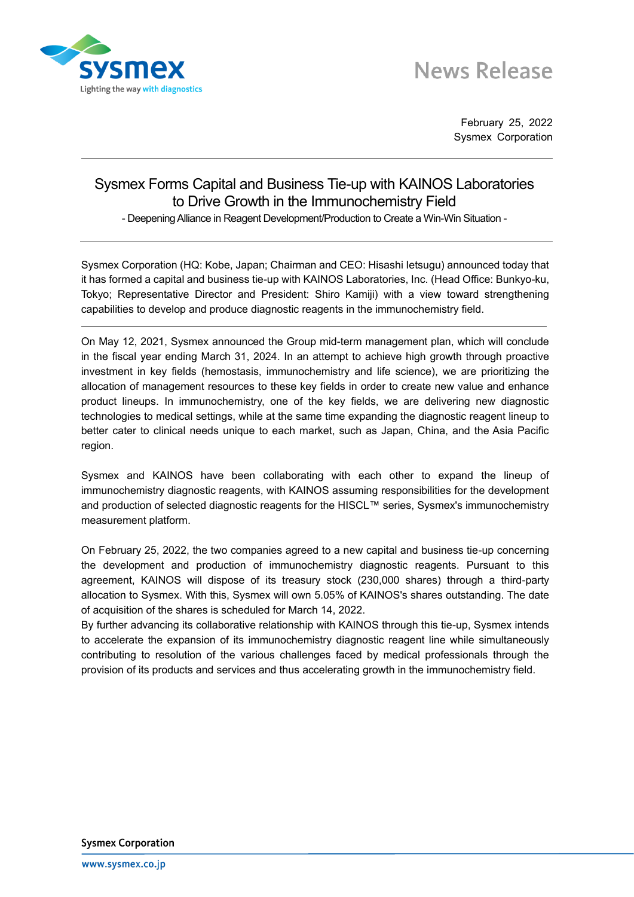

# **News Release**

February 25, 2022 Sysmex Corporation

## Sysmex Forms Capital and Business Tie-up with KAINOS Laboratories to Drive Growth in the Immunochemistry Field

- Deepening Alliance in Reagent Development/Production to Create a Win-Win Situation -

Sysmex Corporation (HQ: Kobe, Japan; Chairman and CEO: Hisashi Ietsugu) announced today that it has formed a capital and business tie-up with KAINOS Laboratories, Inc. (Head Office: Bunkyo-ku, Tokyo; Representative Director and President: Shiro Kamiji) with a view toward strengthening capabilities to develop and produce diagnostic reagents in the immunochemistry field.

On May 12, 2021, Sysmex announced the Group mid-term management plan, which will conclude in the fiscal year ending March 31, 2024. In an attempt to achieve high growth through proactive investment in key fields (hemostasis, immunochemistry and life science), we are prioritizing the allocation of management resources to these key fields in order to create new value and enhance product lineups. In immunochemistry, one of the key fields, we are delivering new diagnostic technologies to medical settings, while at the same time expanding the diagnostic reagent lineup to better cater to clinical needs unique to each market, such as Japan, China, and the Asia Pacific region.

Sysmex and KAINOS have been collaborating with each other to expand the lineup of immunochemistry diagnostic reagents, with KAINOS assuming responsibilities for the development and production of selected diagnostic reagents for the HISCL™ series, Sysmex's immunochemistry measurement platform.

On February 25, 2022, the two companies agreed to a new capital and business tie-up concerning the development and production of immunochemistry diagnostic reagents. Pursuant to this agreement, KAINOS will dispose of its treasury stock (230,000 shares) through a third-party allocation to Sysmex. With this, Sysmex will own 5.05% of KAINOS's shares outstanding. The date of acquisition of the shares is scheduled for March 14, 2022.

By further advancing its collaborative relationship with KAINOS through this tie-up, Sysmex intends to accelerate the expansion of its immunochemistry diagnostic reagent line while simultaneously contributing to resolution of the various challenges faced by medical professionals through the provision of its products and services and thus accelerating growth in the immunochemistry field.